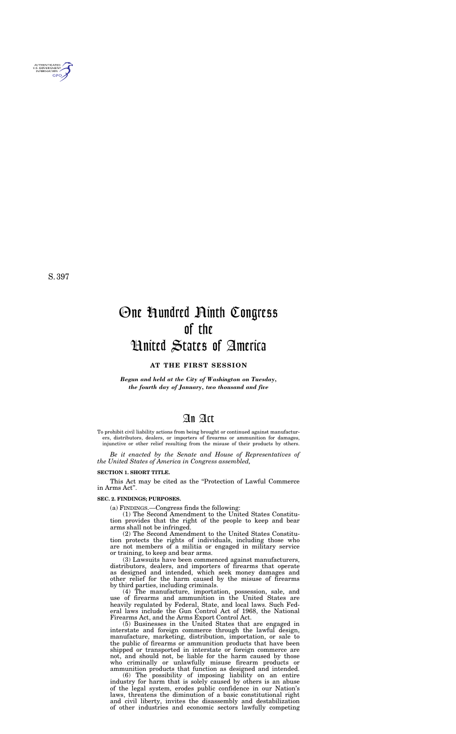# One Hundred Ninth Congress of the United States of America

**AT THE FIRST SESSION**

*Begun and held at the City of Washington on Tuesday, the fourth day of January, two thousand and five*

## An Act

To prohibit civil liability actions from being brought or continued against manufacturers, distributors, dealers, or importers of firearms or ammunition for damages, injunctive or other relief resulting from the misuse of their products by others.

*Be it enacted by the Senate and House of Representatives of the United States of America in Congress assembled,*

#### **SECTION 1. SHORT TITLE.**

This Act may be cited as the ''Protection of Lawful Commerce in Arms Act''.

#### **SEC. 2. FINDINGS; PURPOSES.**

(a) FINDINGS.—Congress finds the following:

(1) The Second Amendment to the United States Constitution provides that the right of the people to keep and bear arms shall not be infringed.

(2) The Second Amendment to the United States Constitution protects the rights of individuals, including those who are not members of a militia or engaged in military service or training, to keep and bear arms.

(3) Lawsuits have been commenced against manufacturers, distributors, dealers, and importers of firearms that operate as designed and intended, which seek money damages and other relief for the harm caused by the misuse of firearms by third parties, including criminals.

(4) The manufacture, importation, possession, sale, and use of firearms and ammunition in the United States are heavily regulated by Federal, State, and local laws. Such Federal laws include the Gun Control Act of 1968, the National Firearms Act, and the Arms Export Control Act.

(5) Businesses in the United States that are engaged in interstate and foreign commerce through the lawful design, manufacture, marketing, distribution, importation, or sale to the public of firearms or ammunition products that have been shipped or transported in interstate or foreign commerce are not, and should not, be liable for the harm caused by those who criminally or unlawfully misuse firearm products or ammunition products that function as designed and intended.

(6) The possibility of imposing liability on an entire industry for harm that is solely caused by others is an abuse of the legal system, erodes public confidence in our Nation's laws, threatens the diminution of a basic constitutional right and civil liberty, invites the disassembly and destabilization of other industries and economic sectors lawfully competing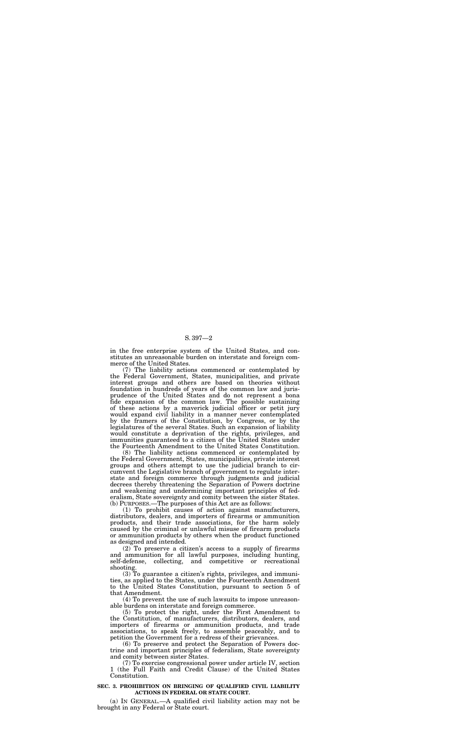in the free enterprise system of the United States, and constitutes an unreasonable burden on interstate and foreign commerce of the United States.

(7) The liability actions commenced or contemplated by the Federal Government, States, municipalities, and private interest groups and others are based on theories without foundation in hundreds of years of the common law and jurisprudence of the United States and do not represent a bona fide expansion of the common law. The possible sustaining of these actions by a maverick judicial officer or petit jury would expand civil liability in a manner never contemplated by the framers of the Constitution, by Congress, or by the legislatures of the several States. Such an expansion of liability would constitute a deprivation of the rights, privileges, and immunities guaranteed to a citizen of the United States under the Fourteenth Amendment to the United States Constitution.

(8) The liability actions commenced or contemplated by the Federal Government, States, municipalities, private interest groups and others attempt to use the judicial branch to circumvent the Legislative branch of government to regulate interstate and foreign commerce through judgments and judicial decrees thereby threatening the Separation of Powers doctrine and weakening and undermining important principles of federalism, State sovereignty and comity between the sister States. (b) PURPOSES.—The purposes of this Act are as follows:

(1) To prohibit causes of action against manufacturers, distributors, dealers, and importers of firearms or ammunition products, and their trade associations, for the harm solely caused by the criminal or unlawful misuse of firearm products or ammunition products by others when the product functioned as designed and intended.

(2) To preserve a citizen's access to a supply of firearms and ammunition for all lawful purposes, including hunting, self-defense, collecting, and competitive or recreational shooting.

(3) To guarantee a citizen's rights, privileges, and immunities, as applied to the States, under the Fourteenth Amendment to the United States Constitution, pursuant to section 5 of that Amendment.

(4) To prevent the use of such lawsuits to impose unreasonable burdens on interstate and foreign commerce.

(5) To protect the right, under the First Amendment to the Constitution, of manufacturers, distributors, dealers, and importers of firearms or ammunition products, and trade associations, to speak freely, to assemble peaceably, and to petition the Government for a redress of their grievances.

(6) To preserve and protect the Separation of Powers doctrine and important principles of federalism, State sovereignty and comity between sister States.

(7) To exercise congressional power under article IV, section 1 (the Full Faith and Credit Clause) of the United States Constitution.

#### **SEC. 3. PROHIBITION ON BRINGING OF QUALIFIED CIVIL LIABILITY ACTIONS IN FEDERAL OR STATE COURT.**

(a) IN GENERAL.—A qualified civil liability action may not be brought in any Federal or State court.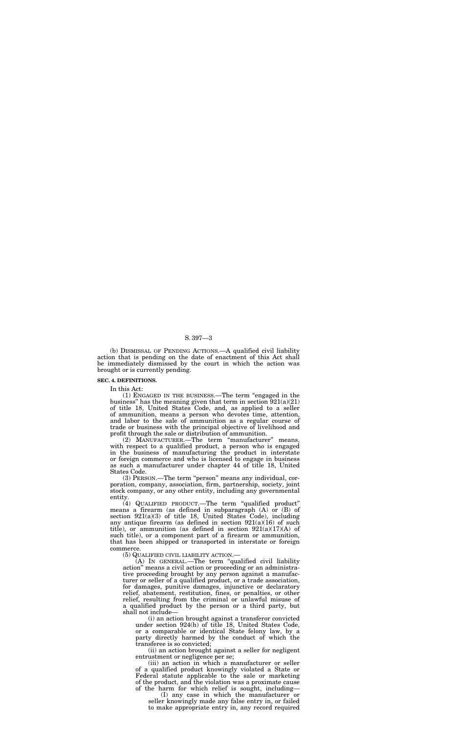(b) DISMISSAL OF PENDING ACTIONS.—A qualified civil liability action that is pending on the date of enactment of this Act shall be immediately dismissed by the court in which the action was brought or is currently pending.

#### **SEC. 4. DEFINITIONS.**

In this Act:

(1) ENGAGED IN THE BUSINESS.—The term ''engaged in the business'' has the meaning given that term in section 921(a)(21) of title 18, United States Code, and, as applied to a seller of ammunition, means a person who devotes time, attention, and labor to the sale of ammunition as a regular course of trade or business with the principal objective of livelihood and profit through the sale or distribution of ammunition.

(2) MANUFACTURER. The term "manufacturer" means, with respect to a qualified product, a person who is engaged in the business of manufacturing the product in interstate or foreign commerce and who is licensed to engage in business as such a manufacturer under chapter 44 of title 18, United States Code.

(3) PERSON.—The term ''person'' means any individual, corporation, company, association, firm, partnership, society, joint stock company, or any other entity, including any governmental entity.

(4) QUALIFIED PRODUCT.—The term ''qualified product'' means a firearm (as defined in subparagraph (A) or (B) of section 921(a)(3) of title 18, United States Code), including any antique firearm (as defined in section  $921(a)(16)$  of such title), or ammunition (as defined in section  $921(a)(17)(A)$  of such title), or a component part of a firearm or ammunition, that has been shipped or transported in interstate or foreign commerce.

(5) QUALIFIED CIVIL LIABILITY ACTION.—

(A) IN GENERAL.—The term ''qualified civil liability action'' means a civil action or proceeding or an administrative proceeding brought by any person against a manufacturer or seller of a qualified product, or a trade association, for damages, punitive damages, injunctive or declaratory relief, abatement, restitution, fines, or penalties, or other relief, resulting from the criminal or unlawful misuse of a qualified product by the person or a third party, but (i) an action brought against a transferor convicted under section 924(h) of title 18, United States Code, or a comparable or identical State felony law, by a party directly harmed by the conduct of which the transferee is so convicted;

(ii) an action brought against a seller for negligent entrustment or negligence per se;

(iii) an action in which a manufacturer or seller of a qualified product knowingly violated a State or Federal statute applicable to the sale or marketing of the product, and the violation was a proximate cause of the harm for which relief is sought, including— (I) any case in which the manufacturer or seller knowingly made any false entry in, or failed to make appropriate entry in, any record required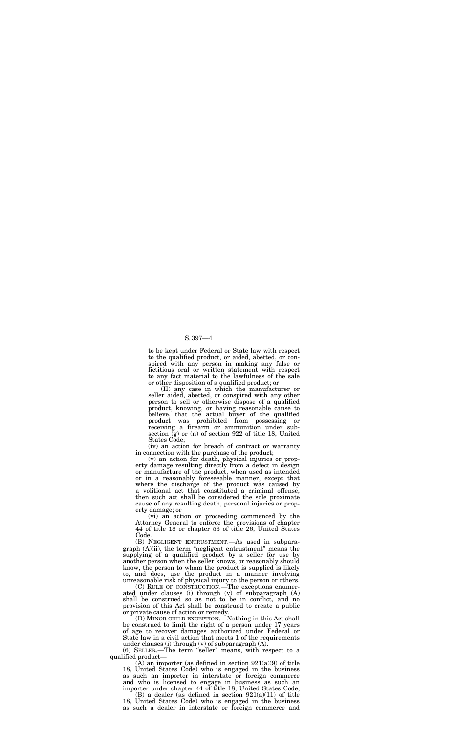to be kept under Federal or State law with respect to the qualified product, or aided, abetted, or conspired with any person in making any false or fictitious oral or written statement with respect to any fact material to the lawfulness of the sale or other disposition of a qualified product; or

(II) any case in which the manufacturer or seller aided, abetted, or conspired with any other person to sell or otherwise dispose of a qualified product, knowing, or having reasonable cause to believe, that the actual buyer of the qualified product was prohibited from possessing or receiving a firearm or ammunition under subsection (g) or (n) of section 922 of title 18, United States Code;

(iv) an action for breach of contract or warranty in connection with the purchase of the product;

(v) an action for death, physical injuries or property damage resulting directly from a defect in design or manufacture of the product, when used as intended or in a reasonably foreseeable manner, except that where the discharge of the product was caused by a volitional act that constituted a criminal offense, then such act shall be considered the sole proximate cause of any resulting death, personal injuries or property damage; or

(vi) an action or proceeding commenced by the Attorney General to enforce the provisions of chapter 44 of title 18 or chapter 53 of title 26, United States Code.

 $(B)$  a dealer (as defined in section  $921(a)(11)$  of title 18, United States Code) who is engaged in the business as such a dealer in interstate or foreign commerce and

(B) NEGLIGENT ENTRUSTMENT.—As used in subparagraph (A)(ii), the term ''negligent entrustment'' means the supplying of a qualified product by a seller for use by another person when the seller knows, or reasonably should know, the person to whom the product is supplied is likely to, and does, use the product in a manner involving unreasonable risk of physical injury to the person or others. (C) RULE OF CONSTRUCTION.—The exceptions enumerated under clauses (i) through (v) of subparagraph (A) shall be construed so as not to be in conflict, and no provision of this Act shall be construed to create a public or private cause of action or remedy. (D) MINOR CHILD EXCEPTION.—Nothing in this Act shall be construed to limit the right of a person under 17 years of age to recover damages authorized under Federal or State law in a civil action that meets 1 of the requirements under clauses (i) through  $(v)$  of subparagraph  $(A)$ . (6) SELLER.—The term ''seller'' means, with respect to a qualified product—  $(A)$  an importer (as defined in section 921(a)(9) of title 18, United States Code) who is engaged in the business as such an importer in interstate or foreign commerce and who is licensed to engage in business as such an importer under chapter 44 of title 18, United States Code;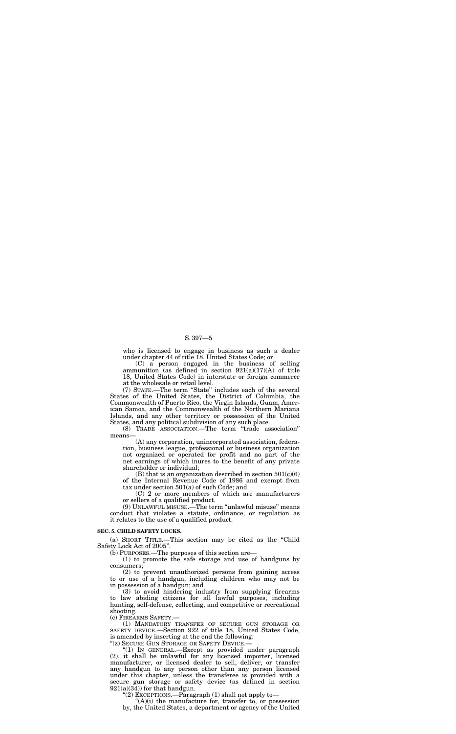who is licensed to engage in business as such a dealer under chapter 44 of title 18, United States Code; or

(C) a person engaged in the business of selling ammunition (as defined in section  $921(a)(17)(A)$  of title 18, United States Code) in interstate or foreign commerce at the wholesale or retail level.

(7) STATE.—The term ''State'' includes each of the several States of the United States, the District of Columbia, the Commonwealth of Puerto Rico, the Virgin Islands, Guam, American Samoa, and the Commonwealth of the Northern Mariana Islands, and any other territory or possession of the United States, and any political subdivision of any such place.

(B) that is an organization described in section  $501(c)(6)$ of the Internal Revenue Code of 1986 and exempt from tax under section 501(a) of such Code; and

(8) TRADE ASSOCIATION.—The term ''trade association'' means—

(1) to promote the safe storage and use of handguns by consumers;<br>(2) to  $p$ 

(A) any corporation, unincorporated association, federation, business league, professional or business organization not organized or operated for profit and no part of the net earnings of which inures to the benefit of any private shareholder or individual;

ent unauthorized persons from gaining access to or use of a handgun, including children who may not be in possession of a handgun; and

(C) 2 or more members of which are manufacturers or sellers of a qualified product.

(9) UNLAWFUL MISUSE.—The term ''unlawful misuse'' means conduct that violates a statute, ordinance, or regulation as it relates to the use of a qualified product.

 $(A)(i)$  the manufacture for, transfer to, or possession by, the United States, a department or agency of the United

#### **SEC. 5. CHILD SAFETY LOCKS.**

(a) SHORT TITLE.—This section may be cited as the ''Child Safety Lock Act of 2005''.

(b) PURPOSES.—The purposes of this section are—

(3) to avoid hindering industry from supplying firearms to law abiding citizens for all lawful purposes, including hunting, self-defense, collecting, and competitive or recreational shooting.

(c) FIREARMS SAFETY.—

(1) MANDATORY TRANSFER OF SECURE GUN STORAGE OR SAFETY DEVICE.—Section 922 of title 18, United States Code, is amended by inserting at the end the following:

''(z) SECURE GUN STORAGE OR SAFETY DEVICE.—

"(1) In GENERAL.—Except as provided under paragraph (2), it shall be unlawful for any licensed importer, licensed manufacturer, or licensed dealer to sell, deliver, or transfer any handgun to any person other than any person licensed under this chapter, unless the transferee is provided with a secure gun storage or safety device (as defined in section  $921(a)(34)$ ) for that handgun.

"(2) EXCEPTIONS.—Paragraph  $(1)$  shall not apply to—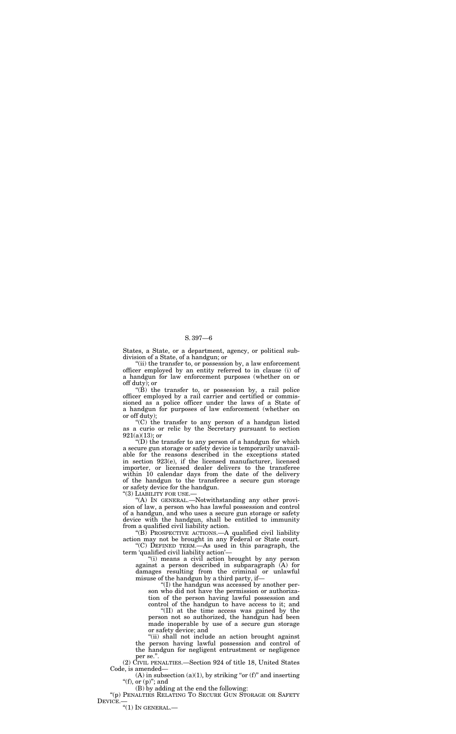States, a State, or a department, agency, or political subdivision of a State, of a handgun; or

"(ii) the transfer to, or possession by, a law enforcement officer employed by an entity referred to in clause (i) of a handgun for law enforcement purposes (whether on or off duty); or

''(B) the transfer to, or possession by, a rail police officer employed by a rail carrier and certified or commissioned as a police officer under the laws of a State of a handgun for purposes of law enforcement (whether on or off duty);

 $(C)$  the transfer to any person of a handgun listed as a curio or relic by the Secretary pursuant to section  $921(a)(13)$ ; or

"(B) PROSPECTIVE ACTIONS.—A qualified civil liability action may not be brought in any Federal or State court.

''(D) the transfer to any person of a handgun for which a secure gun storage or safety device is temporarily unavailable for the reasons described in the exceptions stated in section 923(e), if the licensed manufacturer, licensed importer, or licensed dealer delivers to the transferee within 10 calendar days from the date of the delivery of the handgun to the transferee a secure gun storage or safety device for the handgun.

''(3) LIABILITY FOR USE.—

''(A) IN GENERAL.—Notwithstanding any other provision of law, a person who has lawful possession and control of a handgun, and who uses a secure gun storage or safety device with the handgun, shall be entitled to immunity from a qualified civil liability action.

''(p) PENALTIES RELATING TO SECURE GUN STORAGE OR SAFETY DEVICE.

 $\overline{N}(1)$  In GENERAL.—

''(C) DEFINED TERM.—As used in this paragraph, the term 'qualified civil liability action'—

''(i) means a civil action brought by any person against a person described in subparagraph (A) for damages resulting from the criminal or unlawful misuse of the handgun by a third party, if—

''(I) the handgun was accessed by another person who did not have the permission or authorization of the person having lawful possession and control of the handgun to have access to it; and

''(II) at the time access was gained by the person not so authorized, the handgun had been made inoperable by use of a secure gun storage or safety device; and

''(ii) shall not include an action brought against the person having lawful possession and control of the handgun for negligent entrustment or negligence per se.''.

(2) CIVIL PENALTIES.—Section 924 of title 18, United States Code, is amended—

(A) in subsection  $(a)(1)$ , by striking "or  $(f)$ " and inserting "(f), or  $(p)$ "; and

(B) by adding at the end the following: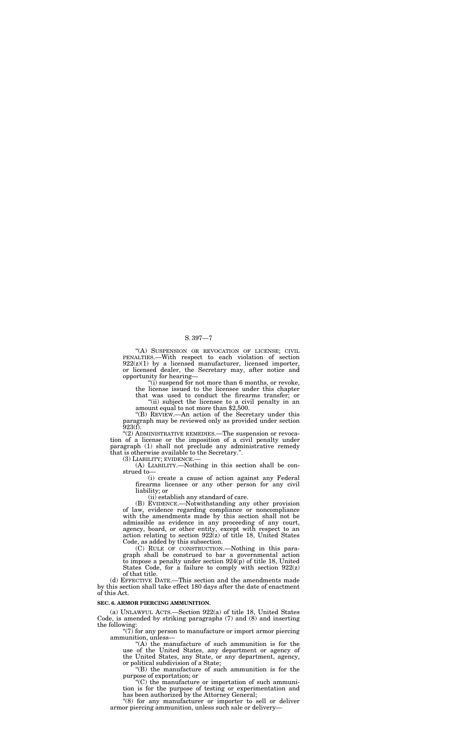''(A) SUSPENSION OR REVOCATION OF LICENSE; CIVIL PENALTIES.—With respect to each violation of section  $922(z)(1)$  by a licensed manufacturer, licensed importer, or licensed dealer, the Secretary may, after notice and opportunity for hearing—

''(i) suspend for not more than 6 months, or revoke, the license issued to the licensee under this chapter

"(2) ADMINISTRATIVE REMEDIES.—The suspension or revocation of a license or the imposition of a civil penalty under paragraph (1) shall not preclude any administrative remedy that is otherwise available to the Secretary.''.

that was used to conduct the firearms transfer; or "(ii) subject the licensee to a civil penalty in an amount equal to not more than \$2,500.

''(B) REVIEW.—An action of the Secretary under this paragraph may be reviewed only as provided under section 923(f).

(3) LIABILITY; EVIDENCE.—

(A) LIABILITY.—Nothing in this section shall be construed to—

(a) UNLAWFUL ACTS.—Section 922(a) of title 18, United States Code, is amended by striking paragraphs  $(7)$  and  $(8)$  and inserting the following:

" $(7)$  for any person to manufacture or import armor piercing ammunition, unless—<br>"(A) the manufacture of such ammunition is for the

(i) create a cause of action against any Federal firearms licensee or any other person for any civil liability; or

(ii) establish any standard of care.

(B) EVIDENCE.—Notwithstanding any other provision of law, evidence regarding compliance or noncompliance with the amendments made by this section shall not be admissible as evidence in any proceeding of any court, agency, board, or other entity, except with respect to an action relating to section 922(z) of title 18, United States Code, as added by this subsection.

(C) RULE OF CONSTRUCTION.—Nothing in this paragraph shall be construed to bar a governmental action to impose a penalty under section 924(p) of title 18, United States Code, for a failure to comply with section 922(z) of that title.

(d) EFFECTIVE DATE.—This section and the amendments made by this section shall take effect 180 days after the date of enactment of this Act.

#### **SEC. 6. ARMOR PIERCING AMMUNITION.**

use of the United States, any department or agency of the United States, any State, or any department, agency,

"(B) the manufacture of such ammunition is for the purpose of exportation; or  $\degree$  ''(C) the manufacture or importation of such ammuni-

tion is for the purpose of testing or experimentation and has been authorized by the Attorney General;

''(8) for any manufacturer or importer to sell or deliver armor piercing ammunition, unless such sale or delivery—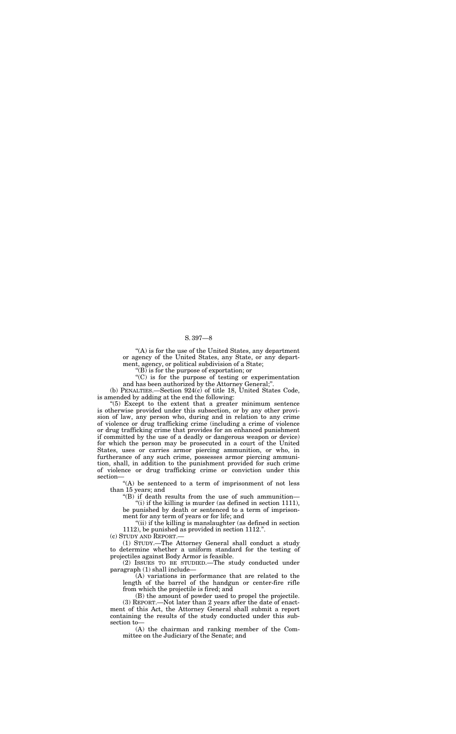''(A) is for the use of the United States, any department or agency of the United States, any State, or any department, agency, or political subdivision of a State;

 $\mathcal{F}(B)$  is for the purpose of exportation; or

''(C) is for the purpose of testing or experimentation and has been authorized by the Attorney General;''.

(b) PENALTIES.—Section 924(c) of title 18, United States Code, is amended by adding at the end the following:

"(A) be sentenced to a term of imprisonment of not less than 15 years; and

''(5) Except to the extent that a greater minimum sentence is otherwise provided under this subsection, or by any other provision of law, any person who, during and in relation to any crime of violence or drug trafficking crime (including a crime of violence or drug trafficking crime that provides for an enhanced punishment if committed by the use of a deadly or dangerous weapon or device) for which the person may be prosecuted in a court of the United States, uses or carries armor piercing ammunition, or who, in furtherance of any such crime, possesses armor piercing ammunition, shall, in addition to the punishment provided for such crime of violence or drug trafficking crime or conviction under this section—

> ''(B) if death results from the use of such ammunition— "(i) if the killing is murder (as defined in section 1111), be punished by death or sentenced to a term of imprisonment for any term of years or for life; and

> ''(ii) if the killing is manslaughter (as defined in section 1112), be punished as provided in section 1112.''.

(c) STUDY AND REPORT.—

(1) STUDY.—The Attorney General shall conduct a study to determine whether a uniform standard for the testing of projectiles against Body Armor is feasible.

(2) ISSUES TO BE STUDIED.—The study conducted under paragraph (1) shall include—

(A) variations in performance that are related to the length of the barrel of the handgun or center-fire rifle from which the projectile is fired; and

(B) the amount of powder used to propel the projectile. (3) REPORT.—Not later than 2 years after the date of enactment of this Act, the Attorney General shall submit a report containing the results of the study conducted under this subsection to—

(A) the chairman and ranking member of the Committee on the Judiciary of the Senate; and